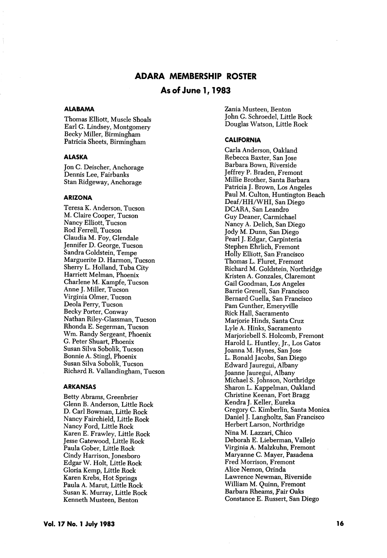# ADARA MEMBERSHIP ROSTER

# As of June 1,1983

## **ALABAMA**

Thomas Elliott, Muscle Shoals Earl G. Lindsey, Montgomery Becky Miller, Birmingham Patricia Sheets, Birmingham

## ALASKA

Jon C. Deischer, Anchorage Dennis Lee, Fairbanks Stan Ridgeway, Anchorage

#### ARIZONA

Teresa K. Anderson, Tucson M. Claire Cooper, Tucson Nancy Elliott, Tucson Rod Ferrell, Tucson Claudia M. Foy, Clendale Jennifer D. George, Tucson Sandra Goldstein, Tempe Marguerite D. Harmon, Tucson Sherry L. Holland, Tuba City Harriett Melman, Phoenix Charlene M. Kampfe, Tucson Anne J. Miller, Tucson Virginia Olmer, Tucson Deola Perry, Tucson Becky Porter, Conway Nathan Riley-Classman, Tucson Rhonda E. Segerman, Tucson Wm. Randy Sergeant, Phoenix C. Peter Shuart, Phoenix Susan Silva Sobolik, Tucson Bonnie A. Stingl, Phoenix Susan Silva Sobolik, Tucson Richard R. Vallandingham, Tucson

#### ARKANSAS

Betty Abrams, Creenbrier Glenn B. Anderson, Little Rock D. Carl Bowman, Little Rock Nancy Fairchield, Little Rock Nancy Ford, Little Rock Karen E. Frawley, Little Rock Jesse Catewood, Little Rock Paula Cober, Little Rock Cindy Harrison, Jonesboro Edgar W. Holt, Little Rock Gloria Kemp, Little Rock Karen Krebs, Hot Springs Paula A. Marut, Little Rock Susan K. Murray, Little Rock Kenneth Musteen, Benton

Zania Musteen, Benton John C. Schroedel, Little Rock Douglas Watson, Little Rock

#### CALIFORNIA

Carla Anderson, Oakland Rebecca Baxter, San Jose Barbara Bown, Riverside Jeffrey P. Braden, Fremont Millie Brother, Santa Barbara Patricia J. Brown, Los Angeles Paul M. Culton, Huntington Beach Deaf/HH/WHI, San Diego DCARA, San Leandro Guy Deaner, Carmichael Nancy A. Delich, San Diego Jody M. Dunn, San Diego Pearl J. Edgar, Carpinteria Stephen Ehrlich, Fremont Holly Elliott, San Francisco Thomas L. Fluret, Fremont Richard M. Goldstein, Northridge Kristen A. Gonzales, Claremont Gail Goodman, Los Angeles Barrie Grenell, San Francisco Bernard Guella, San Francisco Pam Gunther, Emeryville Rick Hall, Sacramento Marjorie Hinds, Santa Cruz Lyle A. Hinks, Sacramento Marjoriebell S. Holcomb, Fremont Harold L. Huntley, Jr., Los Gatos Joanna M. Hynes, San Jose L. Ronald Jacobs, San Diego Edward Jauregui, Albany Joanne Jauregui, Albany Michael S. Johnson, Northridge Sharon L. Kappelman, Oakland Christine Keenan, Fort Bragg Kendra J. Keller, Eureka Gregory C. Kimberlin, Santa Monica Daniel J. Langholtz, San Francisco Herbert Larson, Northridge Nina M. Lazzari, Chico Deborah E. Lieberman, Vallejo Virginia A. Malzkuhn, Fremont Maryanne G. Mayer, Pasadena Fred Morrison, Fremont Alice Nemon, Orinda Lawrence Newman, Riverside William M. Quinn, Fremont Barbara Rheams, fair Oaks Constance E. Russert, San Diego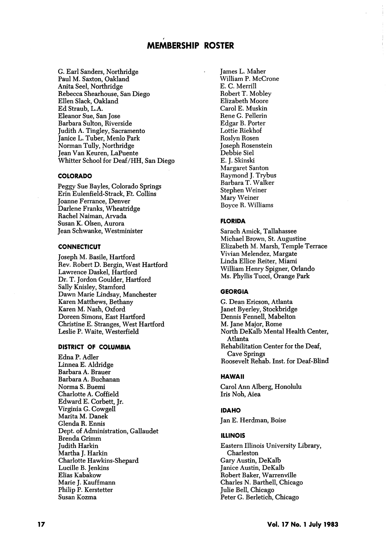G. Earl Sanders, Northridge Paul M. Saxton, Oakland Anita Seel, Northridge Rebecca Shearhouse, San Diego Ellen Slack, Oakland Ed Straub, L.A. Eleanor Sue, San Jose Barbara Sulton, Riverside Judith A. Tingley, Sacramento Janice L. Tuber, Menlo Park Norman TuUy, Northridge Jean Van Keuren, LaPuente Whitter School for Deaf/HH, San Diego

## COLORADO

Peggy Sue Bayles, Colorado Springs Erin Eulenfield-Strack, Et. Collins Joanne Ferrance, Denver Darlene Franks, Wheatridge Rachel Naiman, Arvada Susan K. Olsen, Aurora Jean Schwanke, Westminister

#### **CONNECTICUT**

Joseph M. Basile, Hartford Rev. Robert D. Bergin, West Hartford Lawrence Daskel, Hartford Dr. T. Jordon Coulder, Hartford Sally Knisley, Stamford Dawn Marie Lindsay, Manchester Karen Matthews, Bethany Karen M. Nash, Oxford Doreen Simons, East Hartford Christine E. Stranges, West Hartford Leslie P. Waite, Westerfield

#### DISTRICT OF COLUMBIA

Edna P. Adler Linnea E. Aldridge Barbara A. Brauer Barbara A. Buchanan Norma S. Buemi Charlotte A. Coffield Edward E. Corbett, Jr. Virginia C. Cowgell Marita M. Danek Clenda R. Ennis Dept. of Administration, Callaudet Brenda Crimm Judith Harkin Martha J. Harkin Charlotte Hawkins-Shepard Lucille B. Jenkins Elias Kabakow Marie J. Kauffmann Philip P. Kerstetter Susan Kozma

James L. Maher William P. McCrone E. C. Merrill Robert T. Mobley Elizabeth Moore Carol E. Muskin Rene C. Pellerin Edgar B. Porter Lottie Riekhof Roslyn Rosen Joseph Rosenstein Debbie Siel E. J. Skinski Margaret Santon Raymond J. Trybus Barbara T. Walker Stephen Weiner Mary Weiner Boyce R. Williams

# FLORIDA

Sarach Amick, Tallahassee Michael Brown, St. Augustine Elizabeth M. Marsh, Temple Terrace Vivian Melendez, Margate Linda Ellice Reiter, Miami William Henry Spigner, Orlando Ms. Phyllis Tucci, Orange Park

### GEORGIA

C. Dean Ericson, Atlanta Janet Byerley, Stockbridge Dennis Fennell, Mabelton M. Jane Major, Rome North DeKalb Mental Health Center, Atlanta Rehabilitation Center for the Deaf, Cave Springs Roosevelt Rehab. Inst. for Deaf-Blind

### HAWAII

Carol Ann Alberg, Honolulu Iris Noh, Aiea

#### IDAHO

Jan E. Herdman, Boise

### ILLINOIS

Eastern Illinois University Library, Charleston Gary Austin, DeKalb Janice Austin, DeKalb Robert Baker, Warrenville Charles N. Barthell, Chicago Julie Bell, Chicago Peter C. Berletich, Chicago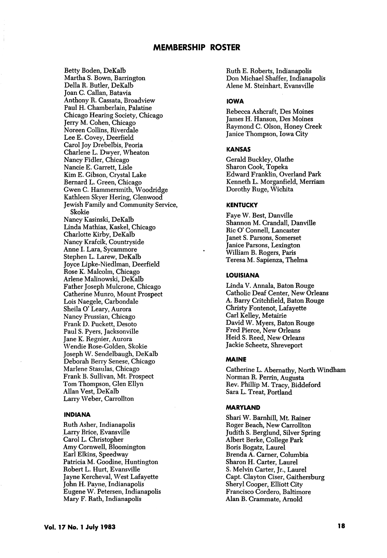Betty Boden, DeKalb Martha S. Bown, Barrington Delia R. Butler, DeKalb Joan C. Callan, Batavia Anthony R. Cassata, Broadview Paul H. Chamberlain, Palatine Chicago Hearing Society, Chicago Jerry M. Cohen, Chicago Noreen Collins, Riverdale Lee E. Covey, Deerfield Carol Joy Drebelbis, Peoria Charlene L. Dwyer, Wheaton Nancy Fidler, Chicago Nancie E. Garrett, Lisle Kim E. Gibson, Crystal Lake Bernard L. Green, Chicago Gwen C. Hammersmith, Woodridge Kathleen Skyer Hering, Glenwood Jewish Family and Community Service, Skokie Nancy Kasinski, DeKalb Linda Mathias, Kaskel, Chicago Charlotte Kirby, DeKalb Nancy Krafcik, Countryside Anne 1. Lara, Sycammore Stephen L. Larew, DeKalb Joyce Lipke-Niedlman, Deerfield Rose K. Malcolm, Chicago Arlene Malinowski, DeKalb Father Joseph Mulcrone, Chicago Catherine Munro, Mount Prospect Lois Naegele, Carbondale Sheila O' Leary, Aurora Nancy Prussian, Chicago Frank D. Puckett, Desoto Paul S. Pyers, Jacksonville Jane K. Regnier, Aurora Wendie Rose-Golden, Skokie Joseph W. Sendelbaugh, DeKalb Deborah Berry Senese, Chicago Marlene Stasulas, Chicago Frank B. Sullivan, Mt. Prospect Tom Thompson, Glen Ellyn Allan Vest, DeKalb Larry Weber, Carrollton

#### INDIANA

Ruth Asher, Indianapolis Larry Brice, Evansville Carol L. Christopher Amy Cornwell, Bloomington Earl Elkins, Speedway Patricia M. Goodine, Huntington Robert L. Hurt, Evansville Jayne Kercheval, West Lafayette John H. Payne, Indianapolis Eugene W. Petersen, Indianapolis Mary F. Rath, Indianapolis

Ruth E. Roberts, Indianapolis Don Michael Shaffer, Indianapolis Alene M. Steinhart, Evansville

# **IOWA**

Rebecca Ashcraft, Des Moines James H. Hanson, Des Moines Raymond C. Olson, Honey Creek Janice Thompson, Iowa City

#### KANSAS

Gerald Buckley, Olathe Sharon Cook, Topeka Edward Franklin, Overland Park Kenneth L. Morganfield, Merriam Dorothy Ruge, Wichita

## **KENTUCKY**

Faye W. Best, Danville Shannon M. Crandall, Danville Ric O' Connell, Lancaster Janet S. Parsons, Somerset Janice Parsons, Lexington William B. Rogers, Paris Teresa M. Sapienza, Thelma

### LOUISIANA

Linda V. Annala, Baton Rouge Catholic Deaf Center, New Orleans A. Barry Critchfield, Baton Rouge Christy Fontenot, Lafayette Carl Kelley, Metairie David W. Myers, Baton Rouge Fred Pierce, New Orleans Heid S. Reed, New Orleans Jackie Scheetz, Shreveport

### MAINE

Catherine L. Abemathy, North Windham Norman R. Perrin, Augusta Rev. Phillip M. Tracy, Biddeford Sara L. Treat, Portland

## MARYLAND

Shari W. Barnhill, Mt. Rainer Roger Beach, New Carrollton Judith S. Berglund, Silver Spring Albert Berke, College Park Boris Bogatz, Laurel Brenda A. Gamer, Columbia Sharon H. Carter, Laurel S. Melvin Carter, Jr., Laurel Capt. Clayton Ciser, Gaithersburg Sheryl Cooper, Elliott City Francisco Cordero, Baltimore Alan B. Crammate, Arnold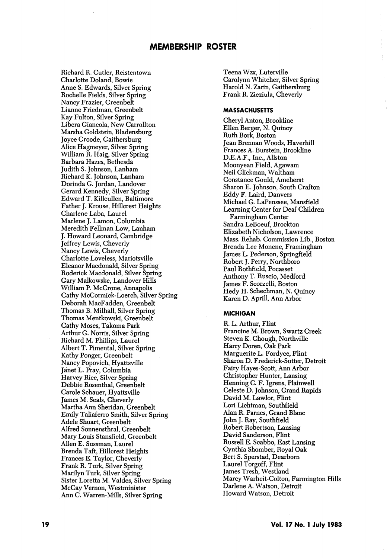Richard R. Cutler, Reistentown Charlotte Doland, Bowie Anne S. Edwards, Silver Spring Rochelle Fields, Silver Spring Nancy Frazier, Greenbelt Lianne Friedman, Greenbelt Kay Fulton, Silver Spring Libera Giancola, New Carrollton Marsha Goldstein, Bladensburg Joyce Groode, Gaithersburg Alice Hagmeyer, Silver Spring William R. Haig, Silver Spring Barbara Hazes, Bethesda Judith S. Johnson, Lanham Richard K. Johnson, Lanham Dorinda G. Jordan, Landover Gerard Kennedy, Silver Spring Edward T. Killcullen, Baltimore Father J. Krouse, Hillcrest Heights Gharlene Laba, Laurel Marlene J. Lamon, Columbia Meredith Fellman Low, Lanham J. Howard Leonard, Cambridge Jeffrey Lewis, Gheverly Nancy Lewis, Gheverly Charlotte Loveless, Mariotsville Eleanor Macdonald, Silver Spring Roderick Macdonald, Silver Spring Gary Malkowske, Landover Hills William P. McGrone, Annapolis Cathy McGormick-Loerch, Silver Spring Deborah MacFadden, Greenbelt Thomas B. Milhall, Silver Spring Thomas Mentkowski, Greenbelt Cathy Moses, Takoma Park Arthur G. Norris, Silver Spring Richard M. Phillips, Laurel Albert T. Pimental, Silver Spring Kathy Ponger, Greenbelt Nancy Popovich, Hyattsville Janet L. Pray, Columbia Harvey Rice, Silver Spring Debbie Rosenthal, Greenbelt Carole Schauer, Hyattsville James M. Seals, Gheverly Martha Ann Sheridan, Greenbelt Emily Taliaferro Smith, Silver Spring Adele Shuart, Greenbelt Alfred Sonnensthral, Greenbelt Mary Louis Stansfield, Greenbelt Allen E. Sussman, Laurel Brenda Taft, Hillcrest Heights Frances E. Taylor, Gheverly Frank R. Turk, Silver Spring Marilyn Turk, Silver Spring Sister Loretta M. Valdes, Silver Spring McCay Vernon, Westminister Ann G. Warren-Mills, Silver Spring

Teena Wzx, Luterville Garolynn Whitcher, Silver Spring Harold N. Zarin, Gaithersburg Frank R. Zieziula, Gheverly

#### **MASSACHUSETTS**

Cheryl Anton, Brookline Ellen Berger, N. Quincy Ruth Bork, Boston Jean Brennan Woods, Haverhill Frances A. Burstein, Brookline D.E.A.F., Inc., Allston Moonyean Field, Agawam Neil Glickman, Waltham Constance Gould, Ameherst Sharon E. Johnson, South Grafton Eddy F. Laird, Danvers Michael G. LaPenssee, Mansfield Learning Center for Deaf Children Farmingham Center Sandra LeBoeuf, Brockton Elizabeth Nicholson, Lawrence Mass. Rehab. Commission Lib., Boston Brenda Lee Monene, Framingham James L. Pederson, Springfield Robert J. Perry, Northboro Paul Rothfield, Pocasset Anthony T. Ruscio, Medford James F. Scorzelli, Boston Hedy H. Schechman, N. Quincy Karen D. Aprill, Ann Arbor

### **MICHIGAN**

R. L. Arthur, Flint Francine M. Brown, Swartz Creek Steven K. Chough, Northville Harry Doren, Oak Park Marguerite L. Fordyce, Flint Sharon D. Frederick-Sutter, Detroit Fairy Hayes-Scott, Ann Arbor Christopher Hunter, Lansing Henning C. F. Igrens, Plainwell Celeste D. Johnson, Grand Rapids David M. Lawlor, Flint Lori Lichtman, Southfield Alan R. Parnes, Grand Blanc John J. Ray, Southfield Robert Robertson, Lansing David Sanderson, Flint Russell E. Scabbo, East Lansing Cynthia Shomber, Royal Oak Bert S. Sperstad, Dearborn Laurel Torgoff, Flint James Tresh, Westland Marcy Warheit-Colton, Farmington Hills Darlene A. Watson, Detroit Howard Watson, Detroit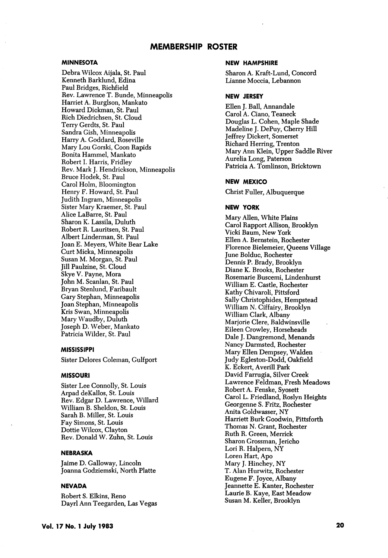## MINNESOTA

Debra Wilcox Aijala, St. Paul Kenneth Barklund, Edina Paul Bridges, Richfield Rev. Lawrence T. Bunde, Minneapolis Harriet A. Burglson, Mankato Howard Dickman, St. Paul Rich Diedrichsen, St. Cloud Terry Gerdts, St. Paul Sandra Gish, Minneapolis Harry A. Goddard, Roseville Mary Lou Gorski, Goon Rapids Bonita Hammel, Mankato Robert 1. Harris, Fridley Rev. Mark J. Hendrickson, Minneapolis Bruce Hodek, St. Paul Carol Holm, Bloomington Henry F. Howard, St. Paul Judith Ingram, Minneapolis Sister Mary Kraemer, St. Paul Alice LaBarre, St. Paul Sharon K. Lassila, Duluth Robert R. Lauritsen, St. Paul Albert Linderman, St. Paul Joan E. Meyers, White Bear Lake Curt Micka, Minneapolis Susan M. Morgan, St. Paul Jill Paulzine, St. Cloud Skye V. Payne, Mora John M. Scanlan, St. Paul Bryan Stenlund, Faribault Gary Stephan, Minneapolis Joan Stephan, Minneapolis Kris Swan, Minneapolis Mary Waudby, Duluth Joseph D. Weber, Mankato Patricia Wilder, St. Paul

## MISSISSIPPI

Sister Delores Goleman, Gulfport

## MISSOURI

Sister Lee Connolly, St. Louis Arpad deKallos, St. Louis Rev. Edgar D. Lawrence, Willard William B. Sheldon, St. Louis Sarah B. Miller, St. Louis Fay Simons, St. Louis Dottie Wilcox, Clayton Rev. Donald W. Zuhn, St. Louis

### NEBRASKA

Jaime D. Galloway, Lincoln Joanna Godziemski, North Platte

### **NEVADA**

Robert S. Elkins, Reno Dayrl Ann Teegarden, Las Vegas

#### NEW HAMPSHIRE

Sharon A. Kraft-Lund, Concord Lianne Moccia, Lebannon

#### NEW JERSEY

Ellen J. Ball, Annandale Carol A. Giano, Teaneck Douglas L. Cohen, Maple Shade Madeline J. DePuy, Cherry Hill Jeffrey Dickert, Somerset Richard Herring, Trenton Mary Ann Klein, Upper Saddle River Aurelia Long, Paterson Patricia A. Tomlinson, Bricktown

## NEW MEXICO

Christ Fuller, Albuquerque

### NEW YORK

Mary Allen, White Plains Carol Rapport Allison, Brooklyn Vicki Baum, New York Ellen A. Bernstein, Rochester Florence Bielemeier, Queens Village June Bolduc, Rochester Dennis P. Brady, Brooklyn Diane K. Brooks, Rochester Rosemarie Buscemi, Lindenhurst William E. Castle, Rochester Kathy Chivaroli, Pittsford Sally Christophides, Hempstead William N. Ciffairy, Brooklyn William Clark, Albany Marjorie Clere, Baldwinsville Eileen Crowley, Horseheads Dale J. Dangremond, Menands Nancy Darmsted, Rochester Mary Ellen Dempsey, Walden Judy Egleston-Dodd, Oakfield K. Eckert, Averill Park David Farrugia, Silver Creek Lawrence Feldman, Fresh Meadows Robert A. Fenske, Syosett Carol L. Friedland, Roslyn Heights Georgenne S. Fritz, Rochester Anita Goldwasser, NY Harriett Burk Goodwin, Pittsforth Thomas N. Grant, Rochester Ruth R. Green, Merrick Sharon Grossman, Jericho Lori R. Halpern, NY Loren Hart, Apo Mary J. Hinchey, NY T. Alan Hurwitz, Rochester Eugene F. Joyce, Albany Jeannette E. Kanter, Rochester Laurie B. Kaye, East Meadow Susan M. Keller, Brooklyn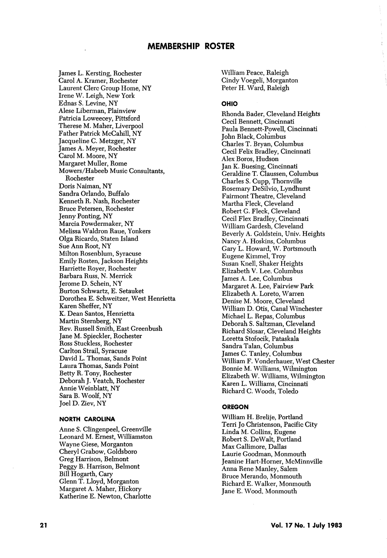James L. Kersting, Rochester Carol A. Kramer, Rochester Laurent Clerc Group Home, NY Irene W. Leigh, New York Ednas S. Levine, NY Alese Liberman, Plainview Patricia Loweecey, Pittsford Therese M. Maher, Liverpool Father Patrick McCahill, NY Jacqueline C. Metzger, NY James A. Meyer, Rochester Carol M. Moore, NY Margaret Muller, Rome Mowers/Habeeb Music Consultants, Rochester Doris Naiman, NY Sandra Orlando, Buffalo Kenneth R. Nash, Rochester Bruce Petersen, Rochester Jenny Ponting, NY Marcia Powdermaker, NY Melissa Waldron Raue, Yonkers Olga Ricardo, Staten Island Sue Ann Root, NY Milton Rosenblum, Syracuse Emily Rosten, Jackson Heights Harriette Royer, Rochester Barbara Russ, N. Merrick Jerome D. Schein, NY Burton Schwartz, E. Setauket Dorothea E. Schweitzer, West Henrietta Karen Sheffer, NY K. Dean Santos, Henrietta Martin Sternberg, NY Rev. Russell Smith, East Greenbush Jane M. Spieckler, Rochester Ross Stuckless, Rochester Carlton Strail, Syracuse David L. Thomas, Sands Point Laura Thomas, Sands Point Betty R. Tony, Rochester Deborah J. Veatch, Rochester Annie Weinblatt, NY Sara B, Woolf, NY Joel D. Ziev, NY

## NORTH CAROLINA

Anne S. Clingenpeel, Greenville Leonard M. Ernest, Williamston Wayne Giese, Morganton Cheryl Grabow, Goldsboro Greg Harrison, Belmont Peggy B. Harrison, Belmont Bill Hogarth, Gary Glenn T. Lloyd, Morganton Margaret A. Maher, Hickory Katherine E, Newton, Charlotte

William Peace, Raleigh Cindy Voegeli, Morganton Peter H. Ward, Raleigh

## OHIO

Rhonda Bader, Cleveland Heights Cecil Bennett, Cincinnati Paula Bennett-Powell, Cincinnati John Black, Columbus Charles T. Bryan, Columbus Cecil Felix Bradley, Cincinnati Alex Boros, Hudson Jan K. Buesing, Cincinnati Geraldine T. Claussen, Columbus Charles S. Cupp, Thornville Rosemary DeSilvio, Lyndhurst Fairmont Theatre, Cleveland Martha Fleck, Cleveland Robert G. Fleck, Cleveland Cecil Flex Bradley, Cincinnati William Gardesh, Cleveland Beverly A. Goldstein, Univ. Heights Nancy A. Hoskins, Columbus Gary L. Howard, W. Portsmouth Eugene Kimmel, Troy Susan Knell, Shaker Heights Elizabeth V. Lee. Columbus James A. Lee, Columbus Margaret A. Lee, Fairview Park Elizabeth A. Loreto, Warren Denise M. Moore, Cleveland William D. Otis, Canal Winchester Michael L. Repas, Columbus Deborah S. Saltzman, Cleveland Richard Slosar, Cleveland Heights Loretta Stofocik, Pataskala Sandra Talan, Columbus James C. Tanley, Columbus William F. Vonderhauer, West Chester Bonnie M. Williams, Wilmington Elizabeth W. Williams, Wilmington Karen L. Williams, Cincinnati Richard C. Woods, Toledo

## **OREGON**

William H. Brelije, Portland Terri Jo Christenson, Pacific City Linda M. Collins, Eugene Robert S. DeWalt, Portland Max Gallimore, Dallas Laurie Goodman, Monmouth Jeanine Hart-Horner, McMinnville Anna Rene Manley, Salem Bruce Merando, Monmouth Richard E. Walker, Monmouth Jane E. Wood, Monmouth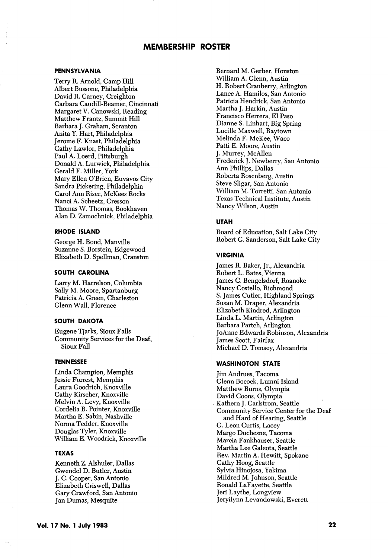### PENNSYLVANIA

Terry R. Arnold, Camp Hill Albert Bussone, Philadelphia David R. Carney, Creighton Carbara Caudill-Beamer, Cincinnati Margaret V. Canowski, Reading Matthew Frantz, Summit Hill Barbara J. Graham, Scranton Anita Y. Hart, Philadelphia Jerome F. Knast, Philadelphia Cathy Lawlor, Philadelphia Paul A. Loerd, Pittsburgh Donald A. Lurwick, Philadelphia Gerald F. Miller, York Mary Ellen O'Brien, Euvavos City Sandra Pickering, Philadelphia Carol Ann Riser, McKees Rocks Nanci A. Scheetz, Cresson Thomas W. Thomas, Bookhaven Alan D. Zamochnick, Philadelphia

### RHODE ISLAND

George H. Bond, Manville Suzanne S. Borstein, Edgewood Elizabeth D. Spellman, Cranston

## SOUTH CAROLINA

Larry M. Harrelson, Columbia Sally M. Moore, Spartanburg Patricia A. Green, Charleston Glenn Wall, Florence

## SOUTH DAKOTA

Eugene Tjarks, Sioux Falls Community Services for the Deaf, Sioux Fall

## TENNESSEE

Linda Champion, Memphis Jessie Forrest, Memphis Laura Goodrich, Knoxville Cathy Kirscher, Knoxville Melvin A. Levy, Knoxville Cordelia B. Pointer, Knoxville Martha E. Sabin, Nashville Norma Tedder, Knoxville Douglas Tyler, Knoxville William E. Woodrick, Knoxville

## TEXAS

Kenneth Z. Alshuler, Dallas Gwendel D. Butler, Austin J. C. Cooper, San Antonio Elizabeth Criswell, Dallas Gary Crawford, San Antonio Jan Dumas, Mesquite

Bernard M. Gerber, Houston William A. Glenn, Austin H. Robert Cranberry, Arlington Lance A. Hamilos, San Antonio Patricia Hendrick, San Antonio Martha J. Harkin, Austin Francisco Herrera, El Paso Dianne S. Linhart, Big Spring Lucille Maxwell, Baytown Melinda F. McKee, Waco Patti E. Moore, Austin J. Murrey, McAllen Frederick J. Newberry, San Antonio Ann Phillips, Dallas Roberta Rosenberg, Austin Steve Sligar, San Antonio William M. Torretti, San Antonio Texas Technical Institute, Austin Nancy Wilson, Austin

## UTAH

Board of Education, Salt Lake City Robert G. Sanderson, Salt Lake City

## VIRGINIA

James R. Baker, Jr., Alexandria Robert L. Bates, Vienna James C. Bengelsdorf, Roanoke Nancy Costello, Richmond S. James Cutler, Highland Springs Susan M. Draper, Alexandria Elizabeth Kindred, Arlington Linda L. Martin, Arlington Barbara Partch, Arlington Jo Anne Edwards Robinson, Alexandria James Scott, Fairfax Michael D. Tomsey, Alexandria

## WASHINGTON STATE

Jim Andrues, Tacoma Glenn Bocock, Lumni Island Matthew Burns, Olympia David Coons, Olympia Kathern J. Carlstrom, Seattle Community Service Center for the Deaf and Hard of Hearing, Seattle G. Leon Curtis, Lacey Margo Duchesne, Tacoma Marcia Fankhauser, Seattle Martha Lee Galeota, Seattle Rev. Martin A. Hewitt, Spokane Cathy Hoog, Seattle Sylvia Hinojosa, Yakima Mildred M. Johnson, Seattle Ronald LaFayette, Seattle Jeri Laythe, Longview Jeryilynn Levandowski, Everett